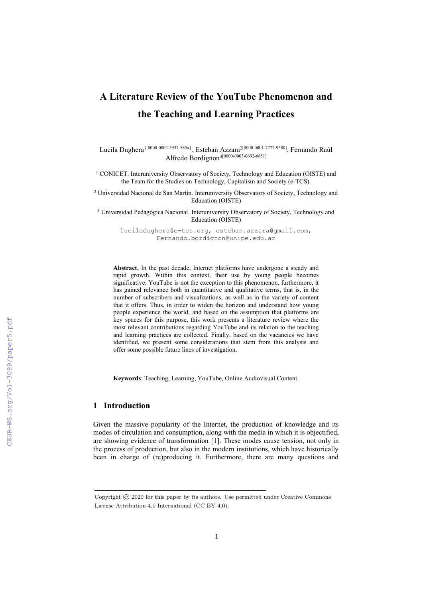# **A Literature Review of the YouTube Phenomenon and the Teaching and Learning Practices**

Lucila Dughera<sup>1[0000-0002-3937-585x]</sup>, Esteban Azzara<sup>2[0000-0001-7777-9380]</sup>, Fernando Raúl Alfredo Bordignon<sup>3[0000-0003-0692-6851]</sup>

<sup>1</sup> CONICET. Interuniversity Observatory of Society, Technology and Education (OISTE) and the Team for the Studies on Technology, Capitalism and Society (e-TCS).

<sup>2</sup> Universidad Nacional de San Martín. Interuniversity Observatory of Society, Technology and Education (OISTE)

<sup>3</sup> Universidad Pedagógica Nacional. Interuniversity Observatory of Society, Technology and Education (OISTE)

luciladughera@e-tcs.org, esteban.azzara@gmail.com, Fernando.bordignon@unipe.edu.ar

**Abstract.** In the past decade, Internet platforms have undergone a steady and rapid growth. Within this context, their use by young people becomes significative. YouTube is not the exception to this phenomenon, furthermore, it has gained relevance both in quantitative and qualitative terms, that is, in the number of subscribers and visualizations, as well as in the variety of content that it offers. Thus, in order to widen the horizon and understand how young people experience the world, and based on the assumption that platforms are key spaces for this purpose, this work presents a literature review where the most relevant contributions regarding YouTube and its relation to the teaching and learning practices are collected. Finally, based on the vacancies we have identified, we present some considerations that stem from this analysis and offer some possible future lines of investigation.

**Keywords**: Teaching, Learning, YouTube, Online Audiovisual Content.

## **1 Introduction**

Given the massive popularity of the Internet, the production of knowledge and its modes of circulation and consumption, along with the media in which it is objectified, are showing evidence of transformation [1]. These modes cause tension, not only in the process of production, but also in the modern institutions, which have historically been in charge of (re)producing it. Furthermore, there are many questions and

Copyright © 2020 for this paper by its authors. Use permitted under Creative Commons License Attribution 4.0 International (CC BY 4.0).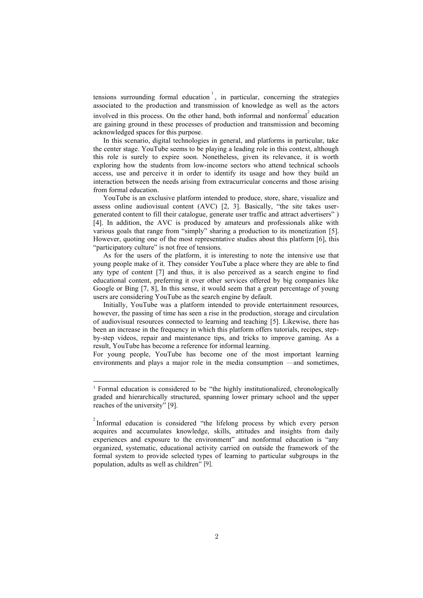tensions surrounding formal education 1 , in particular, concerning the strategies associated to the production and transmission of knowledge as well as the actors involved in this process. On the other hand, both informal and nonformal<sup>2</sup> education are gaining ground in these processes of production and transmission and becoming acknowledged spaces for this purpose.

In this scenario, digital technologies in general, and platforms in particular, take the center stage. YouTube seems to be playing a leading role in this context, although this role is surely to expire soon. Nonetheless, given its relevance, it is worth exploring how the students from low-income sectors who attend technical schools access, use and perceive it in order to identify its usage and how they build an interaction between the needs arising from extracurricular concerns and those arising from formal education.

YouTube is an exclusive platform intended to produce, store, share, visualize and assess online audiovisual content (AVC) [2, 3]. Basically, "the site takes usergenerated content to fill their catalogue, generate user traffic and attract advertisers" ) [4]. In addition, the AVC is produced by amateurs and professionals alike with various goals that range from "simply" sharing a production to its monetization [5]. However, quoting one of the most representative studies about this platform [6], this "participatory culture" is not free of tensions.

As for the users of the platform, it is interesting to note the intensive use that young people make of it. They consider YouTube a place where they are able to find any type of content [7] and thus, it is also perceived as a search engine to find educational content, preferring it over other services offered by big companies like Google or Bing [7, 8], In this sense, it would seem that a great percentage of young users are considering YouTube as the search engine by default.

Initially, YouTube was a platform intended to provide entertainment resources, however, the passing of time has seen a rise in the production, storage and circulation of audiovisual resources connected to learning and teaching [5]. Likewise, there has been an increase in the frequency in which this platform offers tutorials, recipes, stepby-step videos, repair and maintenance tips, and tricks to improve gaming. As a result, YouTube has become a reference for informal learning.

For young people, YouTube has become one of the most important learning environments and plays a major role in the media consumption —and sometimes,

<sup>&</sup>lt;sup>1</sup> Formal education is considered to be "the highly institutionalized, chronologically graded and hierarchically structured, spanning lower primary school and the upper reaches of the university" [9].

 $2$ Informal education is considered "the lifelong process by which every person acquires and accumulates knowledge, skills, attitudes and insights from daily experiences and exposure to the environment" and nonformal education is "any organized, systematic, educational activity carried on outside the framework of the formal system to provide selected types of learning to particular subgroups in the population, adults as well as children" [9].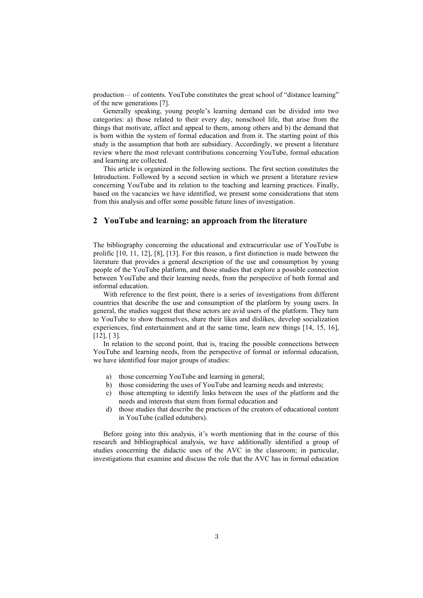production— of contents. YouTube constitutes the great school of "distance learning" of the new generations [7].

Generally speaking, young people's learning demand can be divided into two categories: a) those related to their every day, nonschool life, that arise from the things that motivate, affect and appeal to them, among others and b) the demand that is born within the system of formal education and from it. The starting point of this study is the assumption that both are subsidiary. Accordingly, we present a literature review where the most relevant contributions concerning YouTube, formal education and learning are collected.

This article is organized in the following sections. The first section constitutes the Introduction. Followed by a second section in which we present a literature review concerning YouTube and its relation to the teaching and learning practices. Finally, based on the vacancies we have identified, we present some considerations that stem from this analysis and offer some possible future lines of investigation.

#### **2 YouTube and learning: an approach from the literature**

The bibliography concerning the educational and extracurricular use of YouTube is prolific [10, 11, 12], [8], [13]. For this reason, a first distinction is made between the literature that provides a general description of the use and consumption by young people of the YouTube platform, and those studies that explore a possible connection between YouTube and their learning needs, from the perspective of both formal and informal education.

With reference to the first point, there is a series of investigations from different countries that describe the use and consumption of the platform by young users. In general, the studies suggest that these actors are avid users of the platform. They turn to YouTube to show themselves, share their likes and dislikes, develop socialization experiences, find entertainment and at the same time, learn new things [14, 15, 16],  $[12]$ ,  $[3]$ .

In relation to the second point, that is, tracing the possible connections between YouTube and learning needs, from the perspective of formal or informal education, we have identified four major groups of studies:

- a) those concerning YouTube and learning in general;
- b) those considering the uses of YouTube and learning needs and interests;
- c) those attempting to identify links between the uses of the platform and the needs and interests that stem from formal education and
- d) those studies that describe the practices of the creators of educational content in YouTube (called edutubers).

Before going into this analysis, it's worth mentioning that in the course of this research and bibliographical analysis, we have additionally identified a group of studies concerning the didactic uses of the AVC in the classroom; in particular, investigations that examine and discuss the role that the AVC has in formal education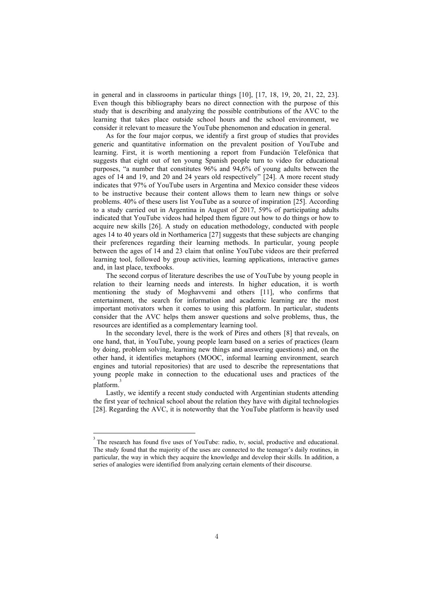in general and in classrooms in particular things [10], [17, 18, 19, 20, 21, 22, 23]. Even though this bibliography bears no direct connection with the purpose of this study that is describing and analyzing the possible contributions of the AVC to the learning that takes place outside school hours and the school environment, we consider it relevant to measure the YouTube phenomenon and education in general.

As for the four major corpus, we identify a first group of studies that provides generic and quantitative information on the prevalent position of YouTube and learning. First, it is worth mentioning a report from Fundación Telefónica that suggests that eight out of ten young Spanish people turn to video for educational purposes, "a number that constitutes 96% and 94,6% of young adults between the ages of 14 and 19, and 20 and 24 years old respectively" [24]. A more recent study indicates that 97% of YouTube users in Argentina and Mexico consider these videos to be instructive because their content allows them to learn new things or solve problems. 40% of these users list YouTube as a source of inspiration [25]. According to a study carried out in Argentina in August of 2017, 59% of participating adults indicated that YouTube videos had helped them figure out how to do things or how to acquire new skills [26]. A study on education methodology, conducted with people ages 14 to 40 years old in Northamerica [27] suggests that these subjects are changing their preferences regarding their learning methods. In particular, young people between the ages of 14 and 23 claim that online YouTube videos are their preferred learning tool, followed by group activities, learning applications, interactive games and, in last place, textbooks.

The second corpus of literature describes the use of YouTube by young people in relation to their learning needs and interests. In higher education, it is worth mentioning the study of Moghavvemi and others [11], who confirms that entertainment, the search for information and academic learning are the most important motivators when it comes to using this platform. In particular, students consider that the AVC helps them answer questions and solve problems, thus, the resources are identified as a complementary learning tool.

In the secondary level, there is the work of Pires and others [8] that reveals, on one hand, that, in YouTube, young people learn based on a series of practices (learn by doing, problem solving, learning new things and answering questions) and, on the other hand, it identifies metaphors (MOOC, informal learning environment, search engines and tutorial repositories) that are used to describe the representations that young people make in connection to the educational uses and practices of the platform. 3

Lastly, we identify a recent study conducted with Argentinian students attending the first year of technical school about the relation they have with digital technologies [28]. Regarding the AVC, it is noteworthy that the YouTube platform is heavily used

 $3$  The research has found five uses of YouTube: radio, tv, social, productive and educational. The study found that the majority of the uses are connected to the teenager's daily routines, in particular, the way in which they acquire the knowledge and develop their skills. In addition, a series of analogies were identified from analyzing certain elements of their discourse.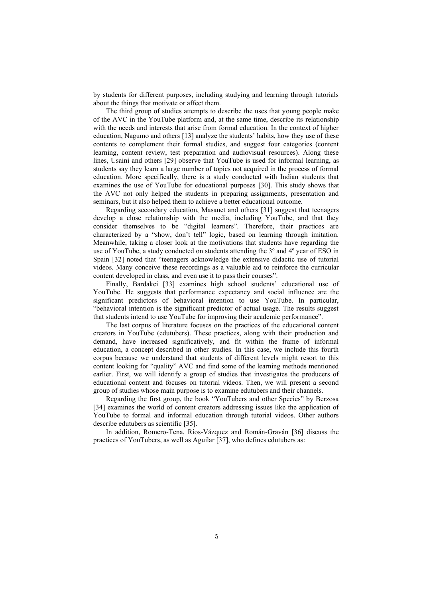by students for different purposes, including studying and learning through tutorials about the things that motivate or affect them.

The third group of studies attempts to describe the uses that young people make of the AVC in the YouTube platform and, at the same time, describe its relationship with the needs and interests that arise from formal education. In the context of higher education, Nagumo and others [13] analyze the students' habits, how they use of these contents to complement their formal studies, and suggest four categories (content learning, content review, test preparation and audiovisual resources). Along these lines, Usaini and others [29] observe that YouTube is used for informal learning, as students say they learn a large number of topics not acquired in the process of formal education. More specifically, there is a study conducted with Indian students that examines the use of YouTube for educational purposes [30]. This study shows that the AVC not only helped the students in preparing assignments, presentation and seminars, but it also helped them to achieve a better educational outcome.

Regarding secondary education, Masanet and others [31] suggest that teenagers develop a close relationship with the media, including YouTube, and that they consider themselves to be "digital learners". Therefore, their practices are characterized by a "show, don't tell" logic, based on learning through imitation. Meanwhile, taking a closer look at the motivations that students have regarding the use of YouTube, a study conducted on students attending the  $3^\circ$  and  $4^\circ$  year of ESO in Spain [32] noted that "teenagers acknowledge the extensive didactic use of tutorial videos. Many conceive these recordings as a valuable aid to reinforce the curricular content developed in class, and even use it to pass their courses".

Finally, Bardakci [33] examines high school students' educational use of YouTube. He suggests that performance expectancy and social influence are the significant predictors of behavioral intention to use YouTube. In particular, "behavioral intention is the significant predictor of actual usage. The results suggest that students intend to use YouTube for improving their academic performance".

The last corpus of literature focuses on the practices of the educational content creators in YouTube (edutubers). These practices, along with their production and demand, have increased significatively, and fit within the frame of informal education, a concept described in other studies. In this case, we include this fourth corpus because we understand that students of different levels might resort to this content looking for "quality" AVC and find some of the learning methods mentioned earlier. First, we will identify a group of studies that investigates the producers of educational content and focuses on tutorial videos. Then, we will present a second group of studies whose main purpose is to examine edutubers and their channels.

Regarding the first group, the book "YouTubers and other Species" by Berzosa [34] examines the world of content creators addressing issues like the application of YouTube to formal and informal education through tutorial videos. Other authors describe edutubers as scientific [35].

In addition, Romero-Tena, Ríos-Vázquez and Román-Graván [36] discuss the practices of YouTubers, as well as Aguilar [37], who defines edutubers as: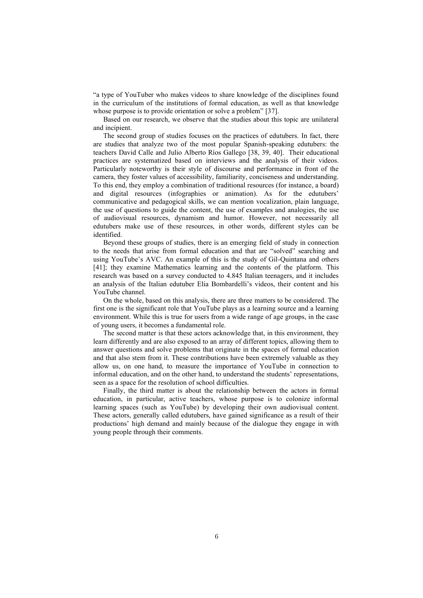"a type of YouTuber who makes videos to share knowledge of the disciplines found in the curriculum of the institutions of formal education, as well as that knowledge whose purpose is to provide orientation or solve a problem" [37].

Based on our research, we observe that the studies about this topic are unilateral and incipient.

The second group of studies focuses on the practices of edutubers. In fact, there are studies that analyze two of the most popular Spanish-speaking edutubers: the teachers David Calle and Julio Alberto Ríos Gallego [38, 39, 40]. Their educational practices are systematized based on interviews and the analysis of their videos. Particularly noteworthy is their style of discourse and performance in front of the camera, they foster values of accessibility, familiarity, conciseness and understanding. To this end, they employ a combination of traditional resources (for instance, a board) and digital resources (infographies or animation). As for the edutubers' communicative and pedagogical skills, we can mention vocalization, plain language, the use of questions to guide the content, the use of examples and analogies, the use of audiovisual resources, dynamism and humor. However, not necessarily all edutubers make use of these resources, in other words, different styles can be identified.

Beyond these groups of studies, there is an emerging field of study in connection to the needs that arise from formal education and that are "solved" searching and using YouTube's AVC. An example of this is the study of Gil-Quintana and others [41]; they examine Mathematics learning and the contents of the platform. This research was based on a survey conducted to 4.845 Italian teenagers, and it includes an analysis of the Italian edutuber Elia Bombardelli's videos, their content and his YouTube channel.

On the whole, based on this analysis, there are three matters to be considered. The first one is the significant role that YouTube plays as a learning source and a learning environment. While this is true for users from a wide range of age groups, in the case of young users, it becomes a fundamental role.

The second matter is that these actors acknowledge that, in this environment, they learn differently and are also exposed to an array of different topics, allowing them to answer questions and solve problems that originate in the spaces of formal education and that also stem from it. These contributions have been extremely valuable as they allow us, on one hand, to measure the importance of YouTube in connection to informal education, and on the other hand, to understand the students' representations, seen as a space for the resolution of school difficulties.

Finally, the third matter is about the relationship between the actors in formal education, in particular, active teachers, whose purpose is to colonize informal learning spaces (such as YouTube) by developing their own audiovisual content. These actors, generally called edutubers, have gained significance as a result of their productions' high demand and mainly because of the dialogue they engage in with young people through their comments.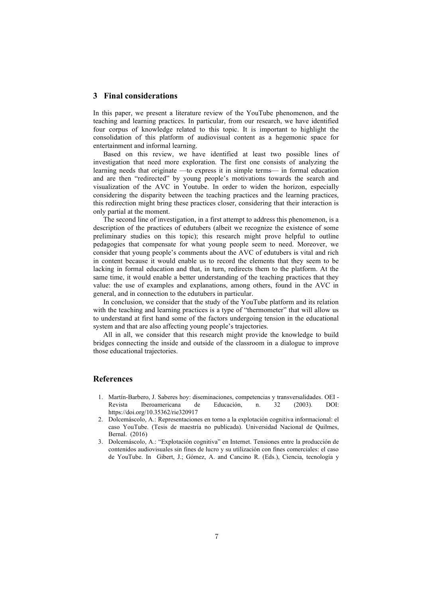#### **3 Final considerations**

In this paper, we present a literature review of the YouTube phenomenon, and the teaching and learning practices. In particular, from our research, we have identified four corpus of knowledge related to this topic. It is important to highlight the consolidation of this platform of audiovisual content as a hegemonic space for entertainment and informal learning.

Based on this review, we have identified at least two possible lines of investigation that need more exploration. The first one consists of analyzing the learning needs that originate —to express it in simple terms— in formal education and are then "redirected" by young people's motivations towards the search and visualization of the AVC in Youtube. In order to widen the horizon, especially considering the disparity between the teaching practices and the learning practices, this redirection might bring these practices closer, considering that their interaction is only partial at the moment.

The second line of investigation, in a first attempt to address this phenomenon, is a description of the practices of edutubers (albeit we recognize the existence of some preliminary studies on this topic); this research might prove helpful to outline pedagogies that compensate for what young people seem to need. Moreover, we consider that young people's comments about the AVC of edutubers is vital and rich in content because it would enable us to record the elements that they seem to be lacking in formal education and that, in turn, redirects them to the platform. At the same time, it would enable a better understanding of the teaching practices that they value: the use of examples and explanations, among others, found in the AVC in general, and in connection to the edutubers in particular.

In conclusion, we consider that the study of the YouTube platform and its relation with the teaching and learning practices is a type of "thermometer" that will allow us to understand at first hand some of the factors undergoing tension in the educational system and that are also affecting young people's trajectories.

All in all, we consider that this research might provide the knowledge to build bridges connecting the inside and outside of the classroom in a dialogue to improve those educational trajectories.

### **References**

- 1. Martín-Barbero, J. Saberes hoy: diseminaciones, competencias y transversalidades. OEI Revista Iberoamericana de Educación, n. 32 (2003). DOI: https://doi.org/10.35362/rie320917
- 2. Dolcemáscolo, A.: Representaciones en torno a la explotación cognitiva informacional: el caso YouTube. (Tesis de maestría no publicada). Universidad Nacional de Quilmes, Bernal. (2016)
- 3. Dolcemáscolo, A.: "Explotación cognitiva" en Internet. Tensiones entre la producción de contenidos audiovisuales sin fines de lucro y su utilización con fines comerciales: el caso de YouTube. In Gibert, J.; Gómez, A. and Cancino R. (Eds.), Ciencia, tecnología y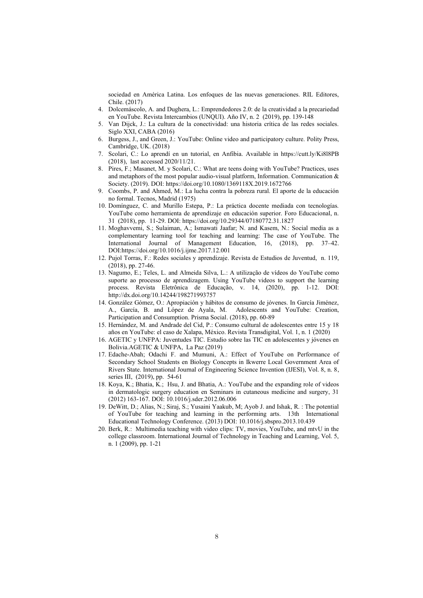sociedad en América Latina. Los enfoques de las nuevas generaciones. RIL Editores, Chile. (2017)

- 4. Dolcemáscolo, A. and Dughera, L.: Emprendedores 2.0: de la creatividad a la precariedad en YouTube. Revista Intercambios (UNQUI). Año IV, n. 2 (2019), pp. 139-148
- 5. Van Dijck, J.: La cultura de la conectividad: una historia crítica de las redes sociales. Siglo XXI, CABA (2016)
- 6. Burgess, J., and Green, J.: YouTube: Online video and participatory culture. Polity Press, Cambridge, UK. (2018)
- 7. Scolari, C.: Lo aprendí en un tutorial, en Anfibia. Available in https://cutt.ly/Ki8l8PB (2018), last accessed 2020/11/21.
- 8. Pires, F.; Masanet, M. y Scolari, C.: What are teens doing with YouTube? Practices, uses and metaphors of the most popular audio-visual platform, Information. Communication & Society. (2019). DOI: https://doi.org/10.1080/1369118X.2019.1672766
- 9. Coombs, P. and Ahmed, M.: La lucha contra la pobreza rural. El aporte de la educación no formal. Tecnos, Madrid (1975)
- 10. Domínguez, C. and Murillo Estepa, P.: La práctica docente mediada con tecnologías. YouTube como herramienta de aprendizaje en educación superior. Foro Educacional, n. 31 (2018), pp. 11-29. DOI: https://doi.org/10.29344/07180772.31.1827
- 11. Moghavvemi, S.; Sulaiman, A.; Ismawati Jaafar; N. and Kasem, N.: Social media as a complementary learning tool for teaching and learning: The case of YouTube. The International Journal of Management Education, 16, (2018), pp. 37–42. DOI:https://doi.org/10.1016/j.ijme.2017.12.001
- 12. Pujol Torras, F.: Redes sociales y aprendizaje. Revista de Estudios de Juventud, n. 119, (2018), pp. 27-46.
- 13. Nagumo, E.; Teles, L. and Almeida Silva, L.: A utilização de vídeos do YouTube como suporte ao processo de aprendizagem. Using YouTube videos to support the learning process. Revista Eletrônica de Educação, v. 14, (2020), pp. 1-12. DOI: http://dx.doi.org/10.14244/198271993757
- 14. González Gómez, O.: Apropiación y hábitos de consumo de jóvenes. In García Jiménez, A., García, B. and López de Ayala, M. Adolescents and YouTube: Creation, Participation and Consumption. Prisma Social. (2018), pp. 60-89
- 15. Hernández, M. and Andrade del Cid, P.: Consumo cultural de adolescentes entre 15 y 18 años en YouTube: el caso de Xalapa, México. Revista Transdigital, Vol. 1, n. 1 (2020)
- 16. AGETIC y UNFPA: Juventudes TIC. Estudio sobre las TIC en adolescentes y jóvenes en Bolivia.AGETIC & UNFPA, La Paz (2019)
- 17. Edache-Abah; Odachi F. and Mumuni, A.: Effect of YouTube on Performance of Secondary School Students en Biology Concepts in Ikwerre Local Government Area of Rivers State. International Journal of Engineering Science Invention (IJESI), Vol. 8, n. 8, series III, (2019), pp. 54-61
- 18. Koya, K.; Bhatia, K.; Hsu, J. and Bhatia, A.: YouTube and the expanding role of videos in dermatologic surgery education en Seminars in cutaneous medicine and surgery, 31 (2012) 163-167. DOI: 10.1016/j.sder.2012.06.006
- 19. DeWitt, D.; Alias, N.; Siraj, S.; Yusaini Yaakub, M; Ayob J. and Ishak, R. : The potential of YouTube for teaching and learning in the performing arts. 13th International Educational Technology Conference. (2013) DOI: 10.1016/j.sbspro.2013.10.439
- 20. Berk, R.: Multimedia teaching with video clips: TV, movies, YouTube, and mtvU in the college classroom. International Journal of Technology in Teaching and Learning, Vol. 5, n. 1 (2009), pp. 1-21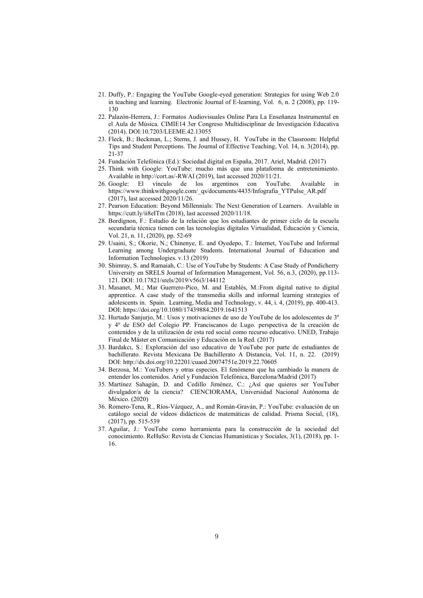- 21. Duffy, P.: Engaging the YouTube Google-eyed generation: Strategies for using Web 2.0 in teaching and learning. Electronic Journal of E-learning, Vol. 6, n. 2 (2008), pp. 119- 130
- 22. Palazón-Herrera, J.: Formatos Audiovisuales Online Para La Enseñanza Instrumental en el Aula de Música. CIMIE14 3er Congreso Multidisciplinar de Investigación Educativa (2014). DOI:10.7203/LEEME.42.13055
- 23. Fleck, B.; Beckman, L.; Sterns, J. and Hussey, H. YouTube in the Classroom: Helpful Tips and Student Perceptions. The Journal of Effective Teaching, Vol. 14, n. 3(2014), pp. 21-37
- 24. Fundación Telefónica (Ed.): Sociedad digital en España, 2017. Ariel, Madrid. (2017)
- 25. Think with Google: YouTube: mucho más que una plataforma de entretenimiento. Available in http://cort.as/-RWAI (2019), last accessed 2020/11/21.
- 26. Google: El vínculo de los argentinos con YouTube. Available in https://www.thinkwithgoogle.com/\_qs/documents/4435/Infografia\_YTPulse\_AR.pdf (2017), last accessed 2020/11/26.
- 27. Pearson Education: Beyond Millennials: The Next Generation of Learners. Available in https://cutt.ly/ii8eITm (2018), last accessed 2020/11/18.
- 28. Bordignon, F.: Estudio de la relación que los estudiantes de primer ciclo de la escuela secundaria técnica tienen con las tecnologías digitales Virtualidad, Educación y Ciencia, Vol. 21, n. 11, (2020), pp. 52-69
- 29. Usaini, S.; Okorie, N.; Chinenye, E. and Oyedepo, T.: Internet, YouTube and Informal Learning among Undergraduate Students. International Journal of Education and Information Technologies. v.13 (2019)
- 30. Shimray, S. and Ramaiah, C.: Use of YouTube by Students: A Case Study of Pondicherry University en SRELS Journal of Information Management, Vol. 56, n.3, (2020), pp.113- 121. DOI: 10.17821/srels/2019/v56i3/144112
- 31. Masanet, M.; Mar Guerrero-Pico, M. and Establés, M.:From digital native to digital apprentice. A case study of the transmedia skills and informal learning strategies of adolescents in. Spain. Learning, Media and Technology, v. 44, i. 4, (2019), pp. 400-413. DOI: https://doi.org/10.1080/17439884.2019.1641513
- 32. Hurtado Sanjurjo, M.: Usos y motivaciones de uso de YouTube de los adolescentes de 3º y 4º de ESO del Colegio PP. Franciscanos de Lugo. perspectiva de la creación de contenidos y de la utilización de esta red social como recurso educativo. UNED, Trabajo Final de Máster en Comunicación y Educación en la Red. (2017)
- 33. Bardakcı, S.: Exploración del uso educativo de YouTube por parte de estudiantes de bachillerato. Revista Mexicana De Bachillerato A Distancia, Vol. 11, n. 22. (2019) DOI: http://dx.doi.org/10.22201/cuaed.20074751e.2019.22.70605
- 34. Berzosa, M.: YouTubers y otras especies. El fenómeno que ha cambiado la manera de entender los contenidos. Ariel y Fundación Telefónica, Barcelona/Madrid (2017)
- 35. Martínez Sahagún, D. and Cedillo Jiménez, C.: ¿Así que quieres ser YouTuber divulgador/a de la ciencia? CIENCIORAMA, Universidad Nacional Autónoma de México. (2020)
- 36. Romero-Tena, R., Ríos-Vázquez, A., and Román-Graván, P.: YouTube: evaluación de un catálogo social de vídeos didácticos de matemáticas de calidad. Prisma Social, (18), (2017), pp. 515-539
- 37. Aguilar, J.: YouTube como herramienta para la construcción de la sociedad del conocimiento. ReHuSo: Revista de Ciencias Humanísticas y Sociales, 3(1), (2018), pp. 1- 16.